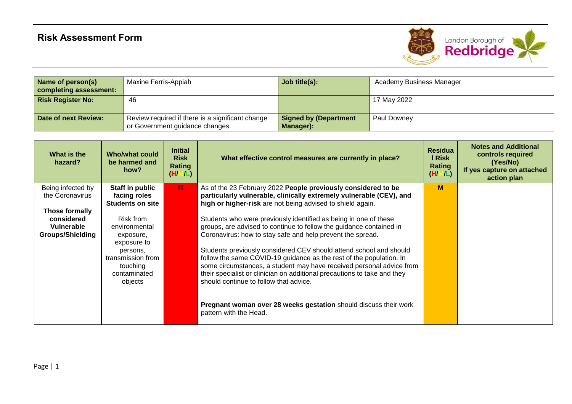

| Name of person(s)<br>completing assessment: | Maxine Ferris-Appiah                                                                | Job title(s):                             | Academy Business Manager |
|---------------------------------------------|-------------------------------------------------------------------------------------|-------------------------------------------|--------------------------|
| <b>Risk Register No:</b>                    | 46                                                                                  |                                           | 17 May 2022              |
| Date of next Review:                        | Review required if there is a significant change<br>or Government guidance changes. | <b>Signed by (Department</b><br>Manager): | Paul Downey              |

| What is the<br>hazard?                                                | <b>Who/what could</b><br>be harmed and<br>how?                                                                                 | <b>Initial</b><br><b>Risk</b><br>Rating<br>(H/M/L) | What effective control measures are currently in place?                                                                                                                                                                                                                                                                                                                                                                                                                                                                                                                                                                                        | <b>Residua</b><br>I Risk<br><b>Rating</b><br>(H/M/L) | <b>Notes and Additional</b><br>controls required<br>(Yes/No)<br>If yes capture on attached<br>action plan |
|-----------------------------------------------------------------------|--------------------------------------------------------------------------------------------------------------------------------|----------------------------------------------------|------------------------------------------------------------------------------------------------------------------------------------------------------------------------------------------------------------------------------------------------------------------------------------------------------------------------------------------------------------------------------------------------------------------------------------------------------------------------------------------------------------------------------------------------------------------------------------------------------------------------------------------------|------------------------------------------------------|-----------------------------------------------------------------------------------------------------------|
| Being infected by<br>the Coronavirus                                  | Staff in public<br>facing roles<br><b>Students on site</b>                                                                     | н.                                                 | As of the 23 February 2022 People previously considered to be<br>particularly vulnerable, clinically extremely vulnerable (CEV), and<br>high or higher-risk are not being advised to shield again.                                                                                                                                                                                                                                                                                                                                                                                                                                             | M                                                    |                                                                                                           |
| Those formally<br>considered<br>Vulnerable<br><b>Groups/Shielding</b> | Risk from<br>environmental<br>exposure,<br>exposure to<br>persons,<br>transmission from<br>touching<br>contaminated<br>objects |                                                    | Students who were previously identified as being in one of these<br>groups, are advised to continue to follow the guidance contained in<br>Coronavirus: how to stay safe and help prevent the spread.<br>Students previously considered CEV should attend school and should<br>follow the same COVID-19 guidance as the rest of the population. In<br>some circumstances, a student may have received personal advice from<br>their specialist or clinician on additional precautions to take and they<br>should continue to follow that advice.<br>Pregnant woman over 28 weeks gestation should discuss their work<br>pattern with the Head. |                                                      |                                                                                                           |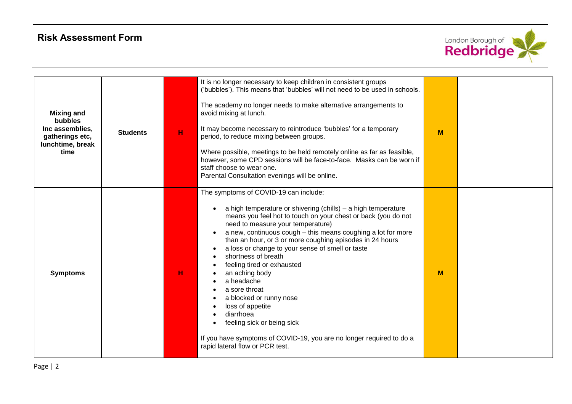

| <b>Mixing and</b><br>bubbles<br>Inc assemblies,<br>gatherings etc,<br>lunchtime, break<br>time | <b>Students</b> | H | It is no longer necessary to keep children in consistent groups<br>('bubbles'). This means that 'bubbles' will not need to be used in schools.<br>The academy no longer needs to make alternative arrangements to<br>avoid mixing at lunch.<br>It may become necessary to reintroduce 'bubbles' for a temporary<br>period, to reduce mixing between groups.<br>Where possible, meetings to be held remotely online as far as feasible,<br>however, some CPD sessions will be face-to-face. Masks can be worn if<br>staff choose to wear one.<br>Parental Consultation evenings will be online.                                                                                                          | M |  |
|------------------------------------------------------------------------------------------------|-----------------|---|---------------------------------------------------------------------------------------------------------------------------------------------------------------------------------------------------------------------------------------------------------------------------------------------------------------------------------------------------------------------------------------------------------------------------------------------------------------------------------------------------------------------------------------------------------------------------------------------------------------------------------------------------------------------------------------------------------|---|--|
| <b>Symptoms</b>                                                                                |                 | н | The symptoms of COVID-19 can include:<br>a high temperature or shivering (chills) - a high temperature<br>means you feel hot to touch on your chest or back (you do not<br>need to measure your temperature)<br>a new, continuous cough - this means coughing a lot for more<br>than an hour, or 3 or more coughing episodes in 24 hours<br>a loss or change to your sense of smell or taste<br>shortness of breath<br>feeling tired or exhausted<br>an aching body<br>a headache<br>a sore throat<br>a blocked or runny nose<br>loss of appetite<br>diarrhoea<br>feeling sick or being sick<br>If you have symptoms of COVID-19, you are no longer required to do a<br>rapid lateral flow or PCR test. | M |  |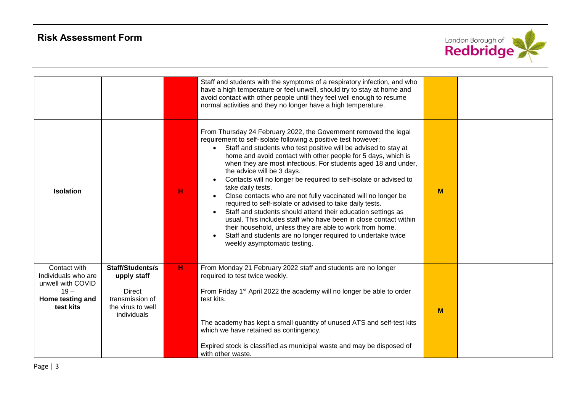

|                                                                                                     |                                                                                                         |   | Staff and students with the symptoms of a respiratory infection, and who<br>have a high temperature or feel unwell, should try to stay at home and<br>avoid contact with other people until they feel well enough to resume<br>normal activities and they no longer have a high temperature.                                                                                                                                                                                                                                                                                                                                                                                                                                                                                                                                                                                                  |   |  |
|-----------------------------------------------------------------------------------------------------|---------------------------------------------------------------------------------------------------------|---|-----------------------------------------------------------------------------------------------------------------------------------------------------------------------------------------------------------------------------------------------------------------------------------------------------------------------------------------------------------------------------------------------------------------------------------------------------------------------------------------------------------------------------------------------------------------------------------------------------------------------------------------------------------------------------------------------------------------------------------------------------------------------------------------------------------------------------------------------------------------------------------------------|---|--|
| <b>Isolation</b>                                                                                    |                                                                                                         | н | From Thursday 24 February 2022, the Government removed the legal<br>requirement to self-isolate following a positive test however:<br>Staff and students who test positive will be advised to stay at<br>home and avoid contact with other people for 5 days, which is<br>when they are most infectious. For students aged 18 and under,<br>the advice will be 3 days.<br>Contacts will no longer be required to self-isolate or advised to<br>take daily tests.<br>Close contacts who are not fully vaccinated will no longer be<br>required to self-isolate or advised to take daily tests.<br>Staff and students should attend their education settings as<br>usual. This includes staff who have been in close contact within<br>their household, unless they are able to work from home.<br>Staff and students are no longer required to undertake twice<br>weekly asymptomatic testing. | M |  |
| Contact with<br>Individuals who are<br>unwell with COVID<br>$19 -$<br>Home testing and<br>test kits | Staff/Students/s<br>upply staff<br><b>Direct</b><br>transmission of<br>the virus to well<br>individuals | H | From Monday 21 February 2022 staff and students are no longer<br>required to test twice weekly.<br>From Friday 1 <sup>st</sup> April 2022 the academy will no longer be able to order<br>test kits.<br>The academy has kept a small quantity of unused ATS and self-test kits<br>which we have retained as contingency.<br>Expired stock is classified as municipal waste and may be disposed of<br>with other waste.                                                                                                                                                                                                                                                                                                                                                                                                                                                                         | M |  |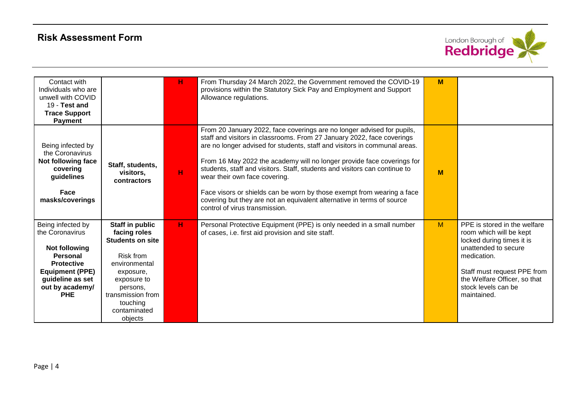

| Contact with<br>Individuals who are<br>unwell with COVID<br>19 - Test and<br><b>Trace Support</b><br><b>Payment</b>                                                          |                                                                                                                                                                                              | н | From Thursday 24 March 2022, the Government removed the COVID-19<br>provisions within the Statutory Sick Pay and Employment and Support<br>Allowance regulations.                                                                                                                                                                                                                                                                                                                                                                                                                                            | M |                                                                                                                                                                                                                                  |
|------------------------------------------------------------------------------------------------------------------------------------------------------------------------------|----------------------------------------------------------------------------------------------------------------------------------------------------------------------------------------------|---|--------------------------------------------------------------------------------------------------------------------------------------------------------------------------------------------------------------------------------------------------------------------------------------------------------------------------------------------------------------------------------------------------------------------------------------------------------------------------------------------------------------------------------------------------------------------------------------------------------------|---|----------------------------------------------------------------------------------------------------------------------------------------------------------------------------------------------------------------------------------|
| Being infected by<br>the Coronavirus<br>Not following face<br>covering<br>guidelines<br>Face<br>masks/coverings                                                              | Staff, students,<br>visitors,<br>contractors                                                                                                                                                 | н | From 20 January 2022, face coverings are no longer advised for pupils,<br>staff and visitors in classrooms. From 27 January 2022, face coverings<br>are no longer advised for students, staff and visitors in communal areas.<br>From 16 May 2022 the academy will no longer provide face coverings for<br>students, staff and visitors. Staff, students and visitors can continue to<br>wear their own face covering.<br>Face visors or shields can be worn by those exempt from wearing a face<br>covering but they are not an equivalent alternative in terms of source<br>control of virus transmission. | M |                                                                                                                                                                                                                                  |
| Being infected by<br>the Coronavirus<br><b>Not following</b><br>Personal<br><b>Protective</b><br><b>Equipment (PPE)</b><br>guideline as set<br>out by academy/<br><b>PHE</b> | Staff in public<br>facing roles<br><b>Students on site</b><br>Risk from<br>environmental<br>exposure,<br>exposure to<br>persons,<br>transmission from<br>touching<br>contaminated<br>objects | H | Personal Protective Equipment (PPE) is only needed in a small number<br>of cases, i.e. first aid provision and site staff.                                                                                                                                                                                                                                                                                                                                                                                                                                                                                   | M | PPE is stored in the welfare<br>room which will be kept<br>locked during times it is<br>unattended to secure<br>medication.<br>Staff must request PPE from<br>the Welfare Officer, so that<br>stock levels can be<br>maintained. |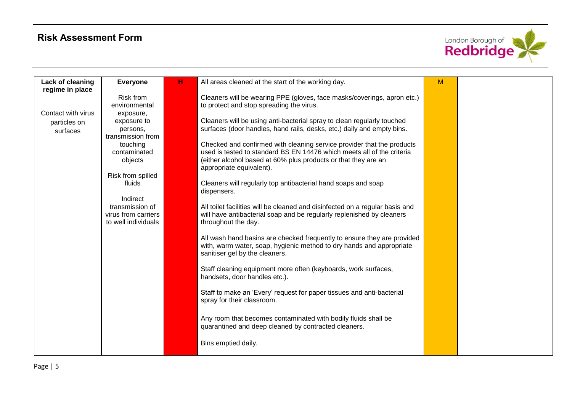

| Lack of cleaning   | <b>Everyone</b>     | н | All areas cleaned at the start of the working day.                           | M |  |
|--------------------|---------------------|---|------------------------------------------------------------------------------|---|--|
| regime in place    |                     |   |                                                                              |   |  |
|                    | <b>Risk from</b>    |   | Cleaners will be wearing PPE (gloves, face masks/coverings, apron etc.)      |   |  |
|                    | environmental       |   | to protect and stop spreading the virus.                                     |   |  |
| Contact with virus | exposure,           |   |                                                                              |   |  |
| particles on       | exposure to         |   | Cleaners will be using anti-bacterial spray to clean regularly touched       |   |  |
| surfaces           | persons,            |   | surfaces (door handles, hand rails, desks, etc.) daily and empty bins.       |   |  |
|                    | transmission from   |   |                                                                              |   |  |
|                    | touching            |   | Checked and confirmed with cleaning service provider that the products       |   |  |
|                    | contaminated        |   | used is tested to standard BS EN 14476 which meets all of the criteria       |   |  |
|                    | objects             |   | (either alcohol based at 60% plus products or that they are an               |   |  |
|                    |                     |   | appropriate equivalent).                                                     |   |  |
|                    | Risk from spilled   |   |                                                                              |   |  |
|                    | fluids              |   | Cleaners will regularly top antibacterial hand soaps and soap                |   |  |
|                    |                     |   | dispensers.                                                                  |   |  |
|                    | Indirect            |   |                                                                              |   |  |
|                    | transmission of     |   | All toilet facilities will be cleaned and disinfected on a regular basis and |   |  |
|                    | virus from carriers |   | will have antibacterial soap and be regularly replenished by cleaners        |   |  |
|                    | to well individuals |   | throughout the day.                                                          |   |  |
|                    |                     |   |                                                                              |   |  |
|                    |                     |   | All wash hand basins are checked frequently to ensure they are provided      |   |  |
|                    |                     |   | with, warm water, soap, hygienic method to dry hands and appropriate         |   |  |
|                    |                     |   | sanitiser gel by the cleaners.                                               |   |  |
|                    |                     |   |                                                                              |   |  |
|                    |                     |   | Staff cleaning equipment more often (keyboards, work surfaces,               |   |  |
|                    |                     |   | handsets, door handles etc.).                                                |   |  |
|                    |                     |   |                                                                              |   |  |
|                    |                     |   | Staff to make an 'Every' request for paper tissues and anti-bacterial        |   |  |
|                    |                     |   | spray for their classroom.                                                   |   |  |
|                    |                     |   |                                                                              |   |  |
|                    |                     |   | Any room that becomes contaminated with bodily fluids shall be               |   |  |
|                    |                     |   |                                                                              |   |  |
|                    |                     |   | quarantined and deep cleaned by contracted cleaners.                         |   |  |
|                    |                     |   |                                                                              |   |  |
|                    |                     |   | Bins emptied daily.                                                          |   |  |
|                    |                     |   |                                                                              |   |  |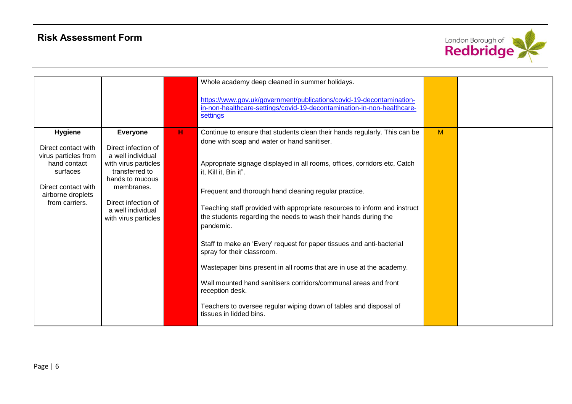

|                                                                                                                                                         |                                                                                                                                                                                                            |   | Whole academy deep cleaned in summer holidays.<br>https://www.gov.uk/government/publications/covid-19-decontamination-<br>in-non-healthcare-settings/covid-19-decontamination-in-non-healthcare-<br>settings                                                                                                                                                                                                                                                                                                                                                                                                                                                                                                                                                                                                              |   |  |
|---------------------------------------------------------------------------------------------------------------------------------------------------------|------------------------------------------------------------------------------------------------------------------------------------------------------------------------------------------------------------|---|---------------------------------------------------------------------------------------------------------------------------------------------------------------------------------------------------------------------------------------------------------------------------------------------------------------------------------------------------------------------------------------------------------------------------------------------------------------------------------------------------------------------------------------------------------------------------------------------------------------------------------------------------------------------------------------------------------------------------------------------------------------------------------------------------------------------------|---|--|
| <b>Hygiene</b><br>Direct contact with<br>virus particles from<br>hand contact<br>surfaces<br>Direct contact with<br>airborne droplets<br>from carriers. | <b>Everyone</b><br>Direct infection of<br>a well individual<br>with virus particles<br>transferred to<br>hands to mucous<br>membranes.<br>Direct infection of<br>a well individual<br>with virus particles | H | Continue to ensure that students clean their hands regularly. This can be<br>done with soap and water or hand sanitiser.<br>Appropriate signage displayed in all rooms, offices, corridors etc, Catch<br>it, Kill it, Bin it".<br>Frequent and thorough hand cleaning regular practice.<br>Teaching staff provided with appropriate resources to inform and instruct<br>the students regarding the needs to wash their hands during the<br>pandemic.<br>Staff to make an 'Every' request for paper tissues and anti-bacterial<br>spray for their classroom.<br>Wastepaper bins present in all rooms that are in use at the academy.<br>Wall mounted hand sanitisers corridors/communal areas and front<br>reception desk.<br>Teachers to oversee regular wiping down of tables and disposal of<br>tissues in lidded bins. | M |  |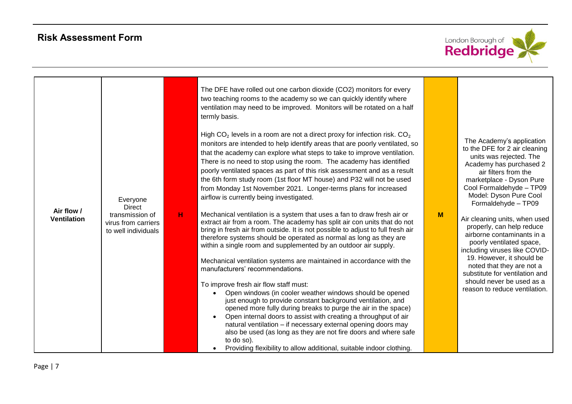

| Air flow /<br><b>Ventilation</b> | Everyone<br><b>Direct</b><br>transmission of<br>virus from carriers<br>to well individuals | н | The DFE have rolled out one carbon dioxide (CO2) monitors for every<br>two teaching rooms to the academy so we can quickly identify where<br>ventilation may need to be improved. Monitors will be rotated on a half<br>termly basis.<br>High $CO2$ levels in a room are not a direct proxy for infection risk. $CO2$<br>monitors are intended to help identify areas that are poorly ventilated, so<br>that the academy can explore what steps to take to improve ventilation.<br>There is no need to stop using the room. The academy has identified<br>poorly ventilated spaces as part of this risk assessment and as a result<br>the 6th form study room (1st floor MT house) and P32 will not be used<br>from Monday 1st November 2021. Longer-terms plans for increased<br>airflow is currently being investigated.<br>Mechanical ventilation is a system that uses a fan to draw fresh air or<br>extract air from a room. The academy has split air con units that do not<br>bring in fresh air from outside. It is not possible to adjust to full fresh air<br>therefore systems should be operated as normal as long as they are<br>within a single room and supplemented by an outdoor air supply.<br>Mechanical ventilation systems are maintained in accordance with the<br>manufacturers' recommendations.<br>To improve fresh air flow staff must:<br>Open windows (in cooler weather windows should be opened<br>just enough to provide constant background ventilation, and<br>opened more fully during breaks to purge the air in the space)<br>Open internal doors to assist with creating a throughput of air<br>natural ventilation - if necessary external opening doors may<br>also be used (as long as they are not fire doors and where safe<br>to do so).<br>Providing flexibility to allow additional, suitable indoor clothing. | M | The Academy's application<br>to the DFE for 2 air cleaning<br>units was rejected. The<br>Academy has purchased 2<br>air filters from the<br>marketplace - Dyson Pure<br>Cool Formaldehyde - TP09<br>Model: Dyson Pure Cool<br>Formaldehyde - TP09<br>Air cleaning units, when used<br>properly, can help reduce<br>airborne contaminants in a<br>poorly ventilated space,<br>including viruses like COVID-<br>19. However, it should be<br>noted that they are not a<br>substitute for ventilation and<br>should never be used as a<br>reason to reduce ventilation. |
|----------------------------------|--------------------------------------------------------------------------------------------|---|-------------------------------------------------------------------------------------------------------------------------------------------------------------------------------------------------------------------------------------------------------------------------------------------------------------------------------------------------------------------------------------------------------------------------------------------------------------------------------------------------------------------------------------------------------------------------------------------------------------------------------------------------------------------------------------------------------------------------------------------------------------------------------------------------------------------------------------------------------------------------------------------------------------------------------------------------------------------------------------------------------------------------------------------------------------------------------------------------------------------------------------------------------------------------------------------------------------------------------------------------------------------------------------------------------------------------------------------------------------------------------------------------------------------------------------------------------------------------------------------------------------------------------------------------------------------------------------------------------------------------------------------------------------------------------------------------------------------------------------------------------------------------------------------------------------------------------------------------------------|---|----------------------------------------------------------------------------------------------------------------------------------------------------------------------------------------------------------------------------------------------------------------------------------------------------------------------------------------------------------------------------------------------------------------------------------------------------------------------------------------------------------------------------------------------------------------------|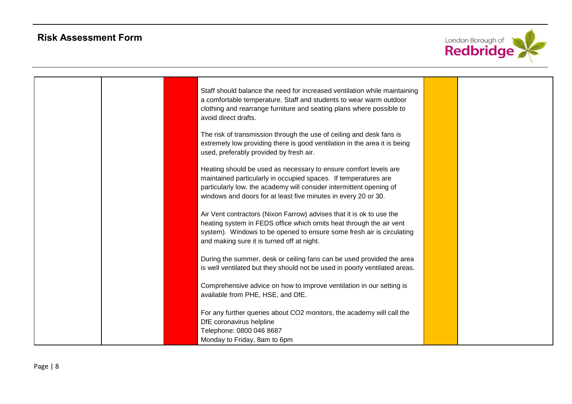

|  | Staff should balance the need for increased ventilation while maintaining<br>a comfortable temperature. Staff and students to wear warm outdoor<br>clothing and rearrange furniture and seating plans where possible to<br>avoid direct drafts.                              |  |
|--|------------------------------------------------------------------------------------------------------------------------------------------------------------------------------------------------------------------------------------------------------------------------------|--|
|  | The risk of transmission through the use of ceiling and desk fans is<br>extremely low providing there is good ventilation in the area it is being<br>used, preferably provided by fresh air.                                                                                 |  |
|  | Heating should be used as necessary to ensure comfort levels are<br>maintained particularly in occupied spaces. If temperatures are<br>particularly low, the academy will consider intermittent opening of<br>windows and doors for at least five minutes in every 20 or 30. |  |
|  | Air Vent contractors (Nixon Farrow) advises that it is ok to use the<br>heating system in FEDS office which omits heat through the air vent<br>system). Windows to be opened to ensure some fresh air is circulating<br>and making sure it is turned off at night.           |  |
|  | During the summer, desk or ceiling fans can be used provided the area<br>is well ventilated but they should not be used in poorly ventilated areas.                                                                                                                          |  |
|  | Comprehensive advice on how to improve ventilation in our setting is<br>available from PHE, HSE, and DfE.                                                                                                                                                                    |  |
|  | For any further queries about CO2 monitors, the academy will call the<br>DfE coronavirus helpline<br>Telephone: 0800 046 8687<br>Monday to Friday, 8am to 6pm                                                                                                                |  |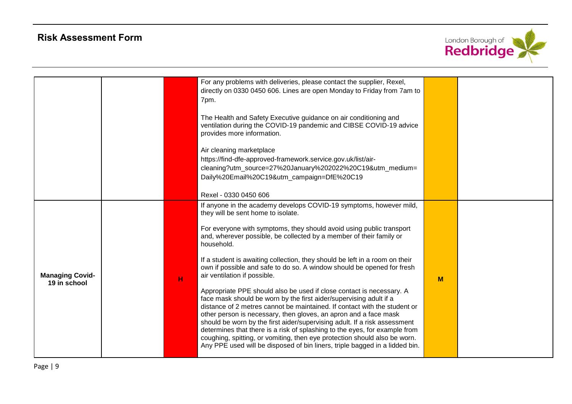

|                        |   | For any problems with deliveries, please contact the supplier, Rexel,       |   |  |
|------------------------|---|-----------------------------------------------------------------------------|---|--|
|                        |   | directly on 0330 0450 606. Lines are open Monday to Friday from 7am to      |   |  |
|                        |   | 7pm.                                                                        |   |  |
|                        |   |                                                                             |   |  |
|                        |   | The Health and Safety Executive guidance on air conditioning and            |   |  |
|                        |   | ventilation during the COVID-19 pandemic and CIBSE COVID-19 advice          |   |  |
|                        |   | provides more information.                                                  |   |  |
|                        |   |                                                                             |   |  |
|                        |   | Air cleaning marketplace                                                    |   |  |
|                        |   | https://find-dfe-approved-framework.service.gov.uk/list/air-                |   |  |
|                        |   | cleaning?utm_source=27%20January%202022%20C19&utm_medium=                   |   |  |
|                        |   | Daily%20Email%20C19&utm_campaign=DfE%20C19                                  |   |  |
|                        |   |                                                                             |   |  |
|                        |   | Rexel - 0330 0450 606                                                       |   |  |
|                        |   | If anyone in the academy develops COVID-19 symptoms, however mild,          |   |  |
|                        |   | they will be sent home to isolate.                                          |   |  |
|                        |   |                                                                             |   |  |
|                        |   | For everyone with symptoms, they should avoid using public transport        |   |  |
|                        |   | and, wherever possible, be collected by a member of their family or         |   |  |
|                        |   | household.                                                                  |   |  |
|                        |   | If a student is awaiting collection, they should be left in a room on their |   |  |
|                        |   | own if possible and safe to do so. A window should be opened for fresh      |   |  |
| <b>Managing Covid-</b> |   | air ventilation if possible.                                                |   |  |
| 19 in school           | H |                                                                             | M |  |
|                        |   | Appropriate PPE should also be used if close contact is necessary. A        |   |  |
|                        |   | face mask should be worn by the first aider/supervising adult if a          |   |  |
|                        |   | distance of 2 metres cannot be maintained. If contact with the student or   |   |  |
|                        |   | other person is necessary, then gloves, an apron and a face mask            |   |  |
|                        |   | should be worn by the first aider/supervising adult. If a risk assessment   |   |  |
|                        |   | determines that there is a risk of splashing to the eyes, for example from  |   |  |
|                        |   | coughing, spitting, or vomiting, then eye protection should also be worn.   |   |  |
|                        |   | Any PPE used will be disposed of bin liners, triple bagged in a lidded bin. |   |  |
|                        |   |                                                                             |   |  |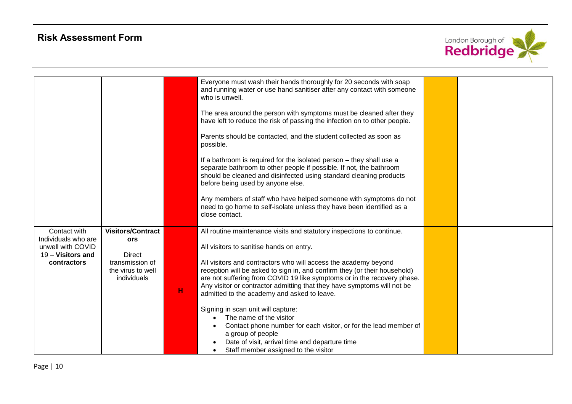

|                                                                                              |                                                                                                                |             | Everyone must wash their hands thoroughly for 20 seconds with soap<br>and running water or use hand sanitiser after any contact with someone<br>who is unwell.<br>The area around the person with symptoms must be cleaned after they<br>have left to reduce the risk of passing the infection on to other people.<br>Parents should be contacted, and the student collected as soon as<br>possible.<br>If a bathroom is required for the isolated person - they shall use a<br>separate bathroom to other people if possible. If not, the bathroom<br>should be cleaned and disinfected using standard cleaning products<br>before being used by anyone else. |  |
|----------------------------------------------------------------------------------------------|----------------------------------------------------------------------------------------------------------------|-------------|----------------------------------------------------------------------------------------------------------------------------------------------------------------------------------------------------------------------------------------------------------------------------------------------------------------------------------------------------------------------------------------------------------------------------------------------------------------------------------------------------------------------------------------------------------------------------------------------------------------------------------------------------------------|--|
|                                                                                              |                                                                                                                |             | Any members of staff who have helped someone with symptoms do not<br>need to go home to self-isolate unless they have been identified as a                                                                                                                                                                                                                                                                                                                                                                                                                                                                                                                     |  |
|                                                                                              |                                                                                                                |             | close contact.                                                                                                                                                                                                                                                                                                                                                                                                                                                                                                                                                                                                                                                 |  |
| Contact with<br>Individuals who are<br>unwell with COVID<br>19 - Visitors and<br>contractors | <b>Visitors/Contract</b><br><b>ors</b><br><b>Direct</b><br>transmission of<br>the virus to well<br>individuals | $\mathbf H$ | All routine maintenance visits and statutory inspections to continue.<br>All visitors to sanitise hands on entry.<br>All visitors and contractors who will access the academy beyond<br>reception will be asked to sign in, and confirm they (or their household)<br>are not suffering from COVID 19 like symptoms or in the recovery phase.<br>Any visitor or contractor admitting that they have symptoms will not be<br>admitted to the academy and asked to leave.<br>Signing in scan unit will capture:                                                                                                                                                   |  |
|                                                                                              |                                                                                                                |             | The name of the visitor<br>Contact phone number for each visitor, or for the lead member of<br>a group of people<br>Date of visit, arrival time and departure time<br>Staff member assigned to the visitor                                                                                                                                                                                                                                                                                                                                                                                                                                                     |  |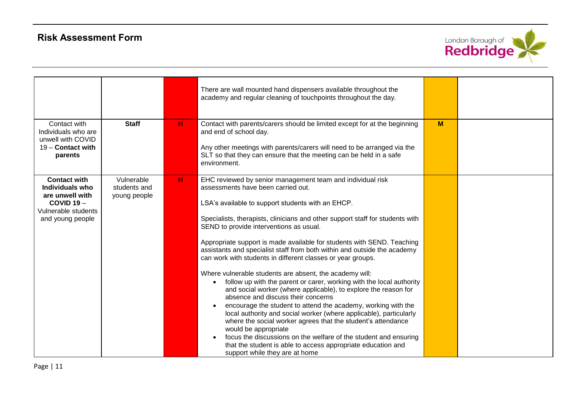

|                                                                                                                      |                                            |   | There are wall mounted hand dispensers available throughout the<br>academy and regular cleaning of touchpoints throughout the day.                                                                                                                                                                                                                                                                                                                                                                                                                                                                                                                                                                                                                                                                                                                                                                                                                                                                                                                                                                                                                      |   |  |
|----------------------------------------------------------------------------------------------------------------------|--------------------------------------------|---|---------------------------------------------------------------------------------------------------------------------------------------------------------------------------------------------------------------------------------------------------------------------------------------------------------------------------------------------------------------------------------------------------------------------------------------------------------------------------------------------------------------------------------------------------------------------------------------------------------------------------------------------------------------------------------------------------------------------------------------------------------------------------------------------------------------------------------------------------------------------------------------------------------------------------------------------------------------------------------------------------------------------------------------------------------------------------------------------------------------------------------------------------------|---|--|
| Contact with<br>Individuals who are<br>unwell with COVID<br>$19 -$ Contact with<br>parents                           | <b>Staff</b>                               | н | Contact with parents/carers should be limited except for at the beginning<br>and end of school day.<br>Any other meetings with parents/carers will need to be arranged via the<br>SLT so that they can ensure that the meeting can be held in a safe<br>environment.                                                                                                                                                                                                                                                                                                                                                                                                                                                                                                                                                                                                                                                                                                                                                                                                                                                                                    | M |  |
| <b>Contact with</b><br>Individuals who<br>are unwell with<br>$COVID 19 -$<br>Vulnerable students<br>and young people | Vulnerable<br>students and<br>young people | н | EHC reviewed by senior management team and individual risk<br>assessments have been carried out.<br>LSA's available to support students with an EHCP.<br>Specialists, therapists, clinicians and other support staff for students with<br>SEND to provide interventions as usual.<br>Appropriate support is made available for students with SEND. Teaching<br>assistants and specialist staff from both within and outside the academy<br>can work with students in different classes or year groups.<br>Where vulnerable students are absent, the academy will:<br>follow up with the parent or carer, working with the local authority<br>and social worker (where applicable), to explore the reason for<br>absence and discuss their concerns<br>encourage the student to attend the academy, working with the<br>local authority and social worker (where applicable), particularly<br>where the social worker agrees that the student's attendance<br>would be appropriate<br>focus the discussions on the welfare of the student and ensuring<br>that the student is able to access appropriate education and<br>support while they are at home |   |  |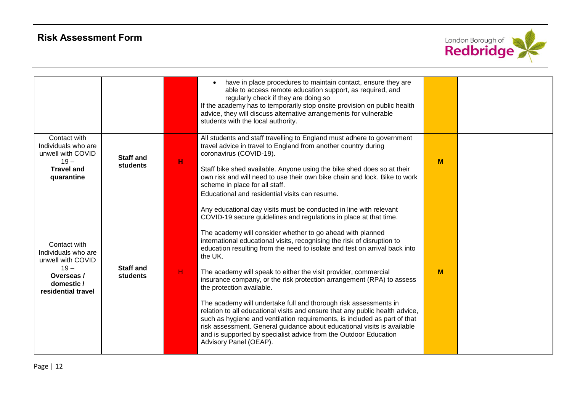

|                                                                                                                      |                              |   | have in place procedures to maintain contact, ensure they are<br>able to access remote education support, as required, and<br>regularly check if they are doing so<br>If the academy has to temporarily stop onsite provision on public health<br>advice, they will discuss alternative arrangements for vulnerable<br>students with the local authority.                                                                                                                                                                                                                                                                                                                                                                                                                                                                                                                                                                                                                                                      |   |  |
|----------------------------------------------------------------------------------------------------------------------|------------------------------|---|----------------------------------------------------------------------------------------------------------------------------------------------------------------------------------------------------------------------------------------------------------------------------------------------------------------------------------------------------------------------------------------------------------------------------------------------------------------------------------------------------------------------------------------------------------------------------------------------------------------------------------------------------------------------------------------------------------------------------------------------------------------------------------------------------------------------------------------------------------------------------------------------------------------------------------------------------------------------------------------------------------------|---|--|
| Contact with<br>Individuals who are<br>unwell with COVID<br>$19 -$<br><b>Travel and</b><br>quarantine                | <b>Staff and</b><br>students | н | All students and staff travelling to England must adhere to government<br>travel advice in travel to England from another country during<br>coronavirus (COVID-19).<br>Staff bike shed available. Anyone using the bike shed does so at their<br>own risk and will need to use their own bike chain and lock. Bike to work<br>scheme in place for all staff.                                                                                                                                                                                                                                                                                                                                                                                                                                                                                                                                                                                                                                                   | M |  |
| Contact with<br>Individuals who are<br>unwell with COVID<br>$19 -$<br>Overseas /<br>domestic /<br>residential travel | <b>Staff and</b><br>students | H | Educational and residential visits can resume.<br>Any educational day visits must be conducted in line with relevant<br>COVID-19 secure guidelines and regulations in place at that time.<br>The academy will consider whether to go ahead with planned<br>international educational visits, recognising the risk of disruption to<br>education resulting from the need to isolate and test on arrival back into<br>the UK.<br>The academy will speak to either the visit provider, commercial<br>insurance company, or the risk protection arrangement (RPA) to assess<br>the protection available.<br>The academy will undertake full and thorough risk assessments in<br>relation to all educational visits and ensure that any public health advice,<br>such as hygiene and ventilation requirements, is included as part of that<br>risk assessment. General guidance about educational visits is available<br>and is supported by specialist advice from the Outdoor Education<br>Advisory Panel (OEAP). | M |  |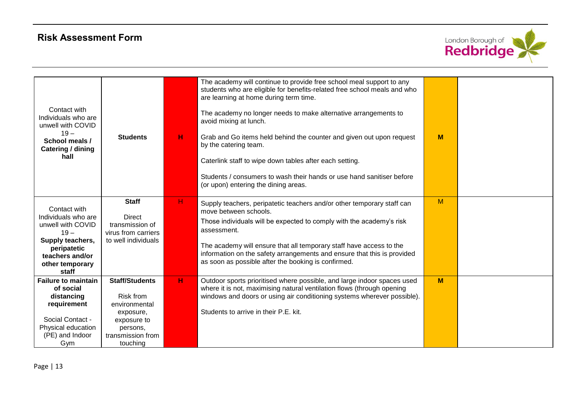

|                                                          |                                        |    | The academy will continue to provide free school meal support to any                                                                           |   |  |
|----------------------------------------------------------|----------------------------------------|----|------------------------------------------------------------------------------------------------------------------------------------------------|---|--|
|                                                          |                                        |    | students who are eligible for benefits-related free school meals and who<br>are learning at home during term time.                             |   |  |
| Contact with<br>Individuals who are<br>unwell with COVID |                                        |    | The academy no longer needs to make alternative arrangements to<br>avoid mixing at lunch.                                                      |   |  |
| $19 -$<br>School meals /<br>Catering / dining            | <b>Students</b>                        | н  | Grab and Go items held behind the counter and given out upon request<br>by the catering team.                                                  | M |  |
| hall                                                     |                                        |    | Caterlink staff to wipe down tables after each setting.                                                                                        |   |  |
|                                                          |                                        |    | Students / consumers to wash their hands or use hand sanitiser before<br>(or upon) entering the dining areas.                                  |   |  |
| Contact with                                             | <b>Staff</b>                           | н. | Supply teachers, peripatetic teachers and/or other temporary staff can                                                                         | M |  |
| Individuals who are                                      | <b>Direct</b>                          |    | move between schools.                                                                                                                          |   |  |
| unwell with COVID<br>$19 -$                              | transmission of<br>virus from carriers |    | Those individuals will be expected to comply with the academy's risk<br>assessment.                                                            |   |  |
| Supply teachers,                                         | to well individuals                    |    |                                                                                                                                                |   |  |
| peripatetic<br>teachers and/or                           |                                        |    | The academy will ensure that all temporary staff have access to the<br>information on the safety arrangements and ensure that this is provided |   |  |
| other temporary                                          |                                        |    | as soon as possible after the booking is confirmed.                                                                                            |   |  |
| staff                                                    |                                        |    |                                                                                                                                                |   |  |
| <b>Failure to maintain</b>                               | <b>Staff/Students</b>                  | н. | Outdoor sports prioritised where possible, and large indoor spaces used                                                                        | M |  |
| of social                                                |                                        |    | where it is not, maximising natural ventilation flows (through opening                                                                         |   |  |
| distancing                                               | <b>Risk from</b>                       |    | windows and doors or using air conditioning systems wherever possible).                                                                        |   |  |
| requirement                                              | environmental                          |    |                                                                                                                                                |   |  |
| Social Contact -                                         | exposure,                              |    | Students to arrive in their P.E. kit.                                                                                                          |   |  |
| Physical education                                       | exposure to                            |    |                                                                                                                                                |   |  |
| (PE) and Indoor                                          | persons,<br>transmission from          |    |                                                                                                                                                |   |  |
| Gym                                                      | touching                               |    |                                                                                                                                                |   |  |
|                                                          |                                        |    |                                                                                                                                                |   |  |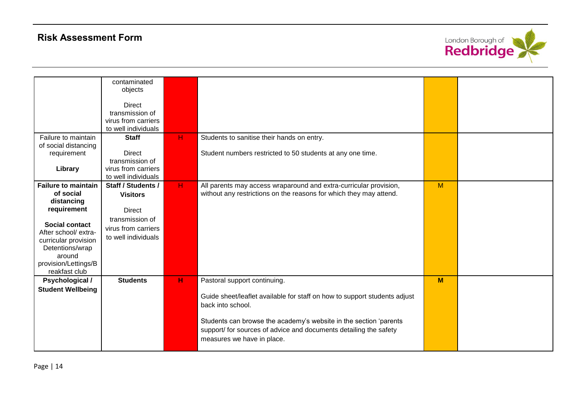

|                                                                                                                                                                                                                     | contaminated<br>objects<br><b>Direct</b><br>transmission of<br>virus from carriers<br>to well individuals               |       |                                                                                                                                                                                                                                                                                                        |   |  |
|---------------------------------------------------------------------------------------------------------------------------------------------------------------------------------------------------------------------|-------------------------------------------------------------------------------------------------------------------------|-------|--------------------------------------------------------------------------------------------------------------------------------------------------------------------------------------------------------------------------------------------------------------------------------------------------------|---|--|
| Failure to maintain<br>of social distancing<br>requirement<br>Library                                                                                                                                               | <b>Staff</b><br>Direct<br>transmission of<br>virus from carriers<br>to well individuals                                 | H     | Students to sanitise their hands on entry.<br>Student numbers restricted to 50 students at any one time.                                                                                                                                                                                               |   |  |
| <b>Failure to maintain</b><br>of social<br>distancing<br>requirement<br><b>Social contact</b><br>After school/ extra-<br>curricular provision<br>Detentions/wrap<br>around<br>provision/Lettings/B<br>reakfast club | Staff / Students /<br><b>Visitors</b><br><b>Direct</b><br>transmission of<br>virus from carriers<br>to well individuals | $H$ . | All parents may access wraparound and extra-curricular provision,<br>without any restrictions on the reasons for which they may attend.                                                                                                                                                                | M |  |
| <b>Psychological /</b><br><b>Student Wellbeing</b>                                                                                                                                                                  | <b>Students</b>                                                                                                         | H     | Pastoral support continuing.<br>Guide sheet/leaflet available for staff on how to support students adjust<br>back into school.<br>Students can browse the academy's website in the section 'parents<br>support/ for sources of advice and documents detailing the safety<br>measures we have in place. | M |  |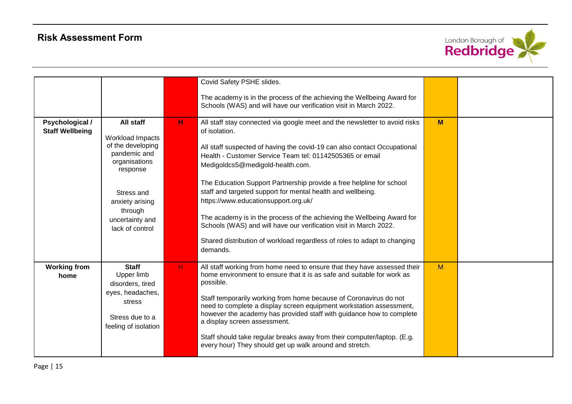

|                                           |                                                                                                                                                                                   |    | Covid Safety PSHE slides.<br>The academy is in the process of the achieving the Wellbeing Award for<br>Schools (WAS) and will have our verification visit in March 2022.                                                                                                                                                                                                                                                                                                                                                                                                                                                                                                                      |   |  |
|-------------------------------------------|-----------------------------------------------------------------------------------------------------------------------------------------------------------------------------------|----|-----------------------------------------------------------------------------------------------------------------------------------------------------------------------------------------------------------------------------------------------------------------------------------------------------------------------------------------------------------------------------------------------------------------------------------------------------------------------------------------------------------------------------------------------------------------------------------------------------------------------------------------------------------------------------------------------|---|--|
| Psychological /<br><b>Staff Wellbeing</b> | All staff<br>Workload Impacts<br>of the developing<br>pandemic and<br>organisations<br>response<br>Stress and<br>anxiety arising<br>through<br>uncertainty and<br>lack of control | н  | All staff stay connected via google meet and the newsletter to avoid risks<br>of isolation.<br>All staff suspected of having the covid-19 can also contact Occupational<br>Health - Customer Service Team tel: 01142505365 or email<br>Medigoldcs5@medigold-health.com.<br>The Education Support Partnership provide a free helpline for school<br>staff and targeted support for mental health and wellbeing.<br>https://www.educationsupport.org.uk/<br>The academy is in the process of the achieving the Wellbeing Award for<br>Schools (WAS) and will have our verification visit in March 2022.<br>Shared distribution of workload regardless of roles to adapt to changing<br>demands. | M |  |
| <b>Working from</b><br>home               | <b>Staff</b><br>Upper limb<br>disorders, tired<br>eyes, headaches,<br>stress<br>Stress due to a<br>feeling of isolation                                                           | H. | All staff working from home need to ensure that they have assessed their<br>home environment to ensure that it is as safe and suitable for work as<br>possible.<br>Staff temporarily working from home because of Coronavirus do not<br>need to complete a display screen equipment workstation assessment,<br>however the academy has provided staff with guidance how to complete<br>a display screen assessment.<br>Staff should take regular breaks away from their computer/laptop. (E.g.<br>every hour) They should get up walk around and stretch.                                                                                                                                     | M |  |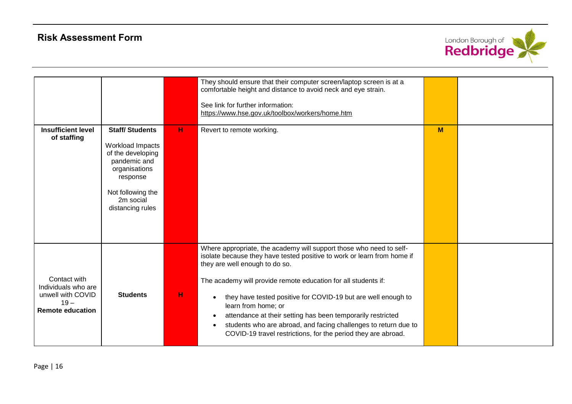

|                                                                                               |                                                                                                                                                                   |   | They should ensure that their computer screen/laptop screen is at a<br>comfortable height and distance to avoid neck and eye strain.<br>See link for further information:<br>https://www.hse.gov.uk/toolbox/workers/home.htm                                                                                                                                                                                                                                                                                                                  |   |  |
|-----------------------------------------------------------------------------------------------|-------------------------------------------------------------------------------------------------------------------------------------------------------------------|---|-----------------------------------------------------------------------------------------------------------------------------------------------------------------------------------------------------------------------------------------------------------------------------------------------------------------------------------------------------------------------------------------------------------------------------------------------------------------------------------------------------------------------------------------------|---|--|
| <b>Insufficient level</b><br>of staffing                                                      | <b>Staff/Students</b><br>Workload Impacts<br>of the developing<br>pandemic and<br>organisations<br>response<br>Not following the<br>2m social<br>distancing rules | н | Revert to remote working.                                                                                                                                                                                                                                                                                                                                                                                                                                                                                                                     | M |  |
| Contact with<br>Individuals who are<br>unwell with COVID<br>$19 -$<br><b>Remote education</b> | <b>Students</b>                                                                                                                                                   | н | Where appropriate, the academy will support those who need to self-<br>isolate because they have tested positive to work or learn from home if<br>they are well enough to do so.<br>The academy will provide remote education for all students if:<br>they have tested positive for COVID-19 but are well enough to<br>learn from home; or<br>attendance at their setting has been temporarily restricted<br>students who are abroad, and facing challenges to return due to<br>COVID-19 travel restrictions, for the period they are abroad. |   |  |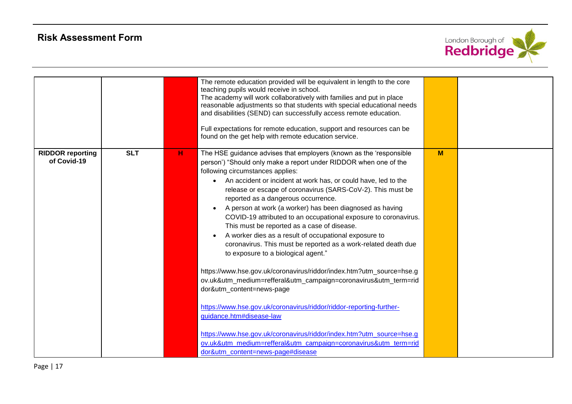

|                                        |            |   | The remote education provided will be equivalent in length to the core<br>teaching pupils would receive in school.<br>The academy will work collaboratively with families and put in place<br>reasonable adjustments so that students with special educational needs<br>and disabilities (SEND) can successfully access remote education.<br>Full expectations for remote education, support and resources can be<br>found on the get help with remote education service.                                                                                                                                                                                                                                                                                                                                                                                                                                                                                                                                                                                                                                                                                                  |   |  |
|----------------------------------------|------------|---|----------------------------------------------------------------------------------------------------------------------------------------------------------------------------------------------------------------------------------------------------------------------------------------------------------------------------------------------------------------------------------------------------------------------------------------------------------------------------------------------------------------------------------------------------------------------------------------------------------------------------------------------------------------------------------------------------------------------------------------------------------------------------------------------------------------------------------------------------------------------------------------------------------------------------------------------------------------------------------------------------------------------------------------------------------------------------------------------------------------------------------------------------------------------------|---|--|
| <b>RIDDOR reporting</b><br>of Covid-19 | <b>SLT</b> | н | The HSE guidance advises that employers (known as the 'responsible<br>person') "Should only make a report under RIDDOR when one of the<br>following circumstances applies:<br>An accident or incident at work has, or could have, led to the<br>$\bullet$<br>release or escape of coronavirus (SARS-CoV-2). This must be<br>reported as a dangerous occurrence.<br>A person at work (a worker) has been diagnosed as having<br>COVID-19 attributed to an occupational exposure to coronavirus.<br>This must be reported as a case of disease.<br>A worker dies as a result of occupational exposure to<br>coronavirus. This must be reported as a work-related death due<br>to exposure to a biological agent."<br>https://www.hse.gov.uk/coronavirus/riddor/index.htm?utm_source=hse.g<br>ov.uk&utm_medium=refferal&utm_campaign=coronavirus&utm_term=rid<br>dor&utm_content=news-page<br>https://www.hse.gov.uk/coronavirus/riddor/riddor-reporting-further-<br>guidance.htm#disease-law<br>https://www.hse.gov.uk/coronavirus/riddor/index.htm?utm_source=hse.g<br>ov.uk&utm_medium=refferal&utm_campaign=coronavirus&utm_term=rid<br>dor&utm_content=news-page#disease | M |  |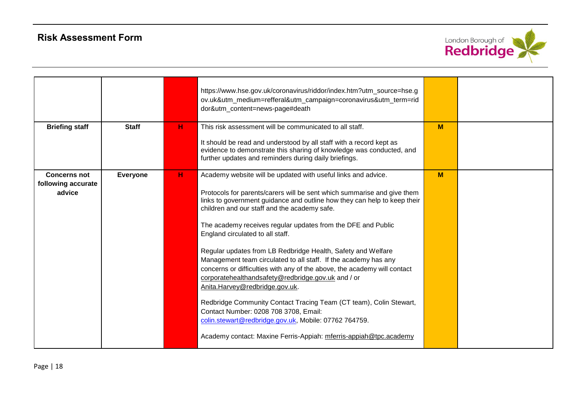

|                                           |                 |   | https://www.hse.gov.uk/coronavirus/riddor/index.htm?utm_source=hse.g<br>ov.uk&utm_medium=refferal&utm_campaign=coronavirus&utm_term=rid<br>dor&utm_content=news-page#death                                                                                                                          |   |  |
|-------------------------------------------|-----------------|---|-----------------------------------------------------------------------------------------------------------------------------------------------------------------------------------------------------------------------------------------------------------------------------------------------------|---|--|
| <b>Briefing staff</b>                     | <b>Staff</b>    | н | This risk assessment will be communicated to all staff.                                                                                                                                                                                                                                             | M |  |
|                                           |                 |   | It should be read and understood by all staff with a record kept as<br>evidence to demonstrate this sharing of knowledge was conducted, and<br>further updates and reminders during daily briefings.                                                                                                |   |  |
| <b>Concerns not</b><br>following accurate | <b>Everyone</b> | н | Academy website will be updated with useful links and advice.                                                                                                                                                                                                                                       | M |  |
| advice                                    |                 |   | Protocols for parents/carers will be sent which summarise and give them<br>links to government guidance and outline how they can help to keep their<br>children and our staff and the academy safe.                                                                                                 |   |  |
|                                           |                 |   | The academy receives regular updates from the DFE and Public<br>England circulated to all staff.                                                                                                                                                                                                    |   |  |
|                                           |                 |   | Regular updates from LB Redbridge Health, Safety and Welfare<br>Management team circulated to all staff. If the academy has any<br>concerns or difficulties with any of the above, the academy will contact<br>corporatehealthandsafety@redbridge.gov.uk and / or<br>Anita.Harvey@redbridge.gov.uk. |   |  |
|                                           |                 |   | Redbridge Community Contact Tracing Team (CT team), Colin Stewart,<br>Contact Number: 0208 708 3708, Email:<br>colin.stewart@redbridge.gov.uk, Mobile: 07762 764759.                                                                                                                                |   |  |
|                                           |                 |   | Academy contact: Maxine Ferris-Appiah: mferris-appiah@tpc.academy                                                                                                                                                                                                                                   |   |  |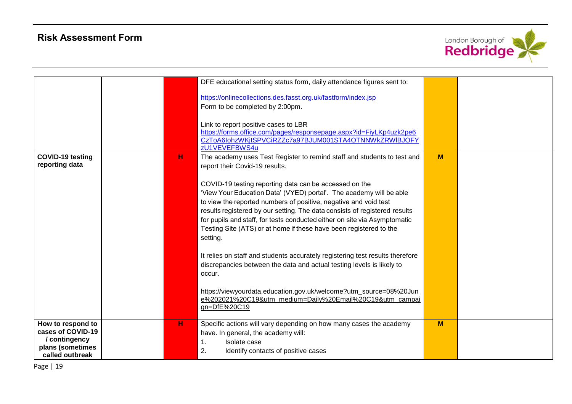

|                                                                                                |   | DFE educational setting status form, daily attendance figures sent to:                                                                                                                                                                                                                                                                                                                                                                         |   |  |
|------------------------------------------------------------------------------------------------|---|------------------------------------------------------------------------------------------------------------------------------------------------------------------------------------------------------------------------------------------------------------------------------------------------------------------------------------------------------------------------------------------------------------------------------------------------|---|--|
|                                                                                                |   | https://onlinecollections.des.fasst.org.uk/fastform/index.jsp                                                                                                                                                                                                                                                                                                                                                                                  |   |  |
|                                                                                                |   | Form to be completed by 2:00pm.                                                                                                                                                                                                                                                                                                                                                                                                                |   |  |
|                                                                                                |   | Link to report positive cases to LBR                                                                                                                                                                                                                                                                                                                                                                                                           |   |  |
|                                                                                                |   | https://forms.office.com/pages/responsepage.aspx?id=FiyLKp4uzk2pe6<br>CzToA6lohzWKjtSPVCiRZZc7a97BJUM001STA4OTNNWkZRWIBJOFY<br>zU1VEVEFBWS4u                                                                                                                                                                                                                                                                                                   |   |  |
| <b>COVID-19 testing</b><br>reporting data                                                      | н | The academy uses Test Register to remind staff and students to test and<br>report their Covid-19 results.                                                                                                                                                                                                                                                                                                                                      | M |  |
|                                                                                                |   | COVID-19 testing reporting data can be accessed on the<br>'View Your Education Data' (VYED) portal'. The academy will be able<br>to view the reported numbers of positive, negative and void test<br>results registered by our setting. The data consists of registered results<br>for pupils and staff, for tests conducted either on site via Asymptomatic<br>Testing Site (ATS) or at home if these have been registered to the<br>setting. |   |  |
|                                                                                                |   | It relies on staff and students accurately registering test results therefore<br>discrepancies between the data and actual testing levels is likely to<br>occur.                                                                                                                                                                                                                                                                               |   |  |
|                                                                                                |   | https://viewyourdata.education.gov.uk/welcome?utm_source=08%20Jun<br>e%202021%20C19&utm_medium=Daily%20Email%20C19&utm_campai<br>gn=DfE%20C19                                                                                                                                                                                                                                                                                                  |   |  |
| How to respond to<br>cases of COVID-19<br>/ contingency<br>plans (sometimes<br>called outbreak | н | Specific actions will vary depending on how many cases the academy<br>have. In general, the academy will:<br>$\mathbf 1$ .<br>Isolate case<br>Identify contacts of positive cases<br>2.                                                                                                                                                                                                                                                        | M |  |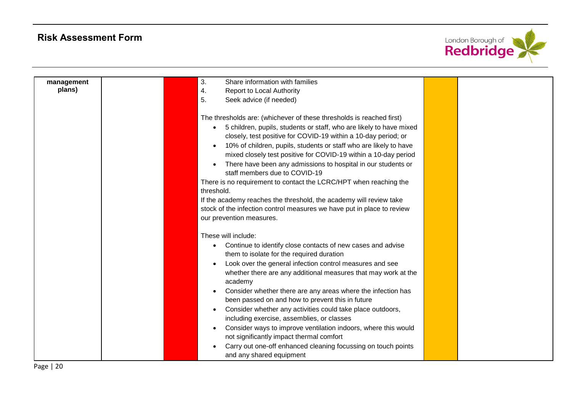

| management | Share information with families<br>3.                                  |  |
|------------|------------------------------------------------------------------------|--|
| plans)     | <b>Report to Local Authority</b><br>4.                                 |  |
|            | 5.<br>Seek advice (if needed)                                          |  |
|            |                                                                        |  |
|            | The thresholds are: (whichever of these thresholds is reached first)   |  |
|            | 5 children, pupils, students or staff, who are likely to have mixed    |  |
|            | closely, test positive for COVID-19 within a 10-day period; or         |  |
|            | 10% of children, pupils, students or staff who are likely to have      |  |
|            | mixed closely test positive for COVID-19 within a 10-day period        |  |
|            | There have been any admissions to hospital in our students or          |  |
|            | staff members due to COVID-19                                          |  |
|            | There is no requirement to contact the LCRC/HPT when reaching the      |  |
|            | threshold.                                                             |  |
|            | If the academy reaches the threshold, the academy will review take     |  |
|            | stock of the infection control measures we have put in place to review |  |
|            | our prevention measures.                                               |  |
|            |                                                                        |  |
|            | These will include:                                                    |  |
|            | Continue to identify close contacts of new cases and advise            |  |
|            | them to isolate for the required duration                              |  |
|            | Look over the general infection control measures and see               |  |
|            | whether there are any additional measures that may work at the         |  |
|            | academy                                                                |  |
|            | Consider whether there are any areas where the infection has           |  |
|            | been passed on and how to prevent this in future                       |  |
|            | Consider whether any activities could take place outdoors,             |  |
|            | including exercise, assemblies, or classes                             |  |
|            | Consider ways to improve ventilation indoors, where this would         |  |
|            | not significantly impact thermal comfort                               |  |
|            | Carry out one-off enhanced cleaning focussing on touch points          |  |
|            | and any shared equipment                                               |  |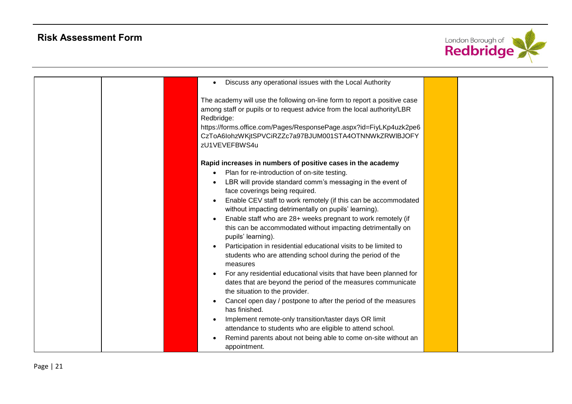

| Discuss any operational issues with the Local Authority                                                                                                                                                                                                                                                            |  |
|--------------------------------------------------------------------------------------------------------------------------------------------------------------------------------------------------------------------------------------------------------------------------------------------------------------------|--|
| The academy will use the following on-line form to report a positive case<br>among staff or pupils or to request advice from the local authority/LBR<br>Redbridge:<br>https://forms.office.com/Pages/ResponsePage.aspx?id=FiyLKp4uzk2pe6<br>CzToA6lohzWKjtSPVCiRZZc7a97BJUM001STA4OTNNWkZRWIBJOFY<br>zU1VEVEFBWS4u |  |
| Rapid increases in numbers of positive cases in the academy<br>Plan for re-introduction of on-site testing.                                                                                                                                                                                                        |  |
| LBR will provide standard comm's messaging in the event of<br>face coverings being required.                                                                                                                                                                                                                       |  |
| Enable CEV staff to work remotely (if this can be accommodated<br>without impacting detrimentally on pupils' learning).                                                                                                                                                                                            |  |
| Enable staff who are 28+ weeks pregnant to work remotely (if<br>this can be accommodated without impacting detrimentally on<br>pupils' learning).                                                                                                                                                                  |  |
| Participation in residential educational visits to be limited to<br>students who are attending school during the period of the<br>measures                                                                                                                                                                         |  |
| For any residential educational visits that have been planned for<br>dates that are beyond the period of the measures communicate<br>the situation to the provider.                                                                                                                                                |  |
| Cancel open day / postpone to after the period of the measures<br>has finished.                                                                                                                                                                                                                                    |  |
| Implement remote-only transition/taster days OR limit<br>attendance to students who are eligible to attend school.                                                                                                                                                                                                 |  |
| Remind parents about not being able to come on-site without an<br>appointment.                                                                                                                                                                                                                                     |  |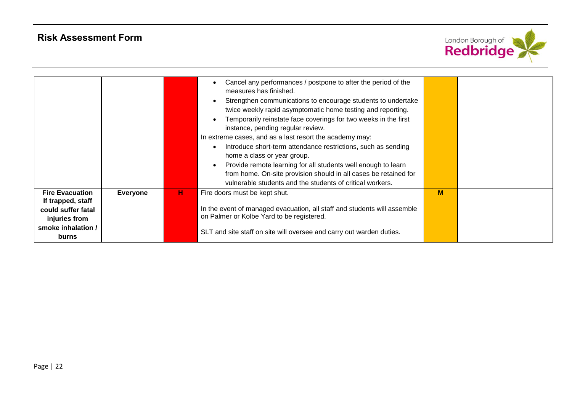

|                                                                                                          |                 |    | Cancel any performances / postpone to after the period of the<br>measures has finished.<br>Strengthen communications to encourage students to undertake<br>twice weekly rapid asymptomatic home testing and reporting.<br>Temporarily reinstate face coverings for two weeks in the first<br>instance, pending regular review.<br>In extreme cases, and as a last resort the academy may:<br>Introduce short-term attendance restrictions, such as sending<br>home a class or year group.<br>Provide remote learning for all students well enough to learn<br>from home. On-site provision should in all cases be retained for<br>vulnerable students and the students of critical workers. |   |  |
|----------------------------------------------------------------------------------------------------------|-----------------|----|---------------------------------------------------------------------------------------------------------------------------------------------------------------------------------------------------------------------------------------------------------------------------------------------------------------------------------------------------------------------------------------------------------------------------------------------------------------------------------------------------------------------------------------------------------------------------------------------------------------------------------------------------------------------------------------------|---|--|
| <b>Fire Evacuation</b><br>If trapped, staff<br>could suffer fatal<br>injuries from<br>smoke inhalation / | <b>Everyone</b> | н. | Fire doors must be kept shut.<br>In the event of managed evacuation, all staff and students will assemble<br>on Palmer or Kolbe Yard to be registered.<br>SLT and site staff on site will oversee and carry out warden duties.                                                                                                                                                                                                                                                                                                                                                                                                                                                              | M |  |
| burns                                                                                                    |                 |    |                                                                                                                                                                                                                                                                                                                                                                                                                                                                                                                                                                                                                                                                                             |   |  |